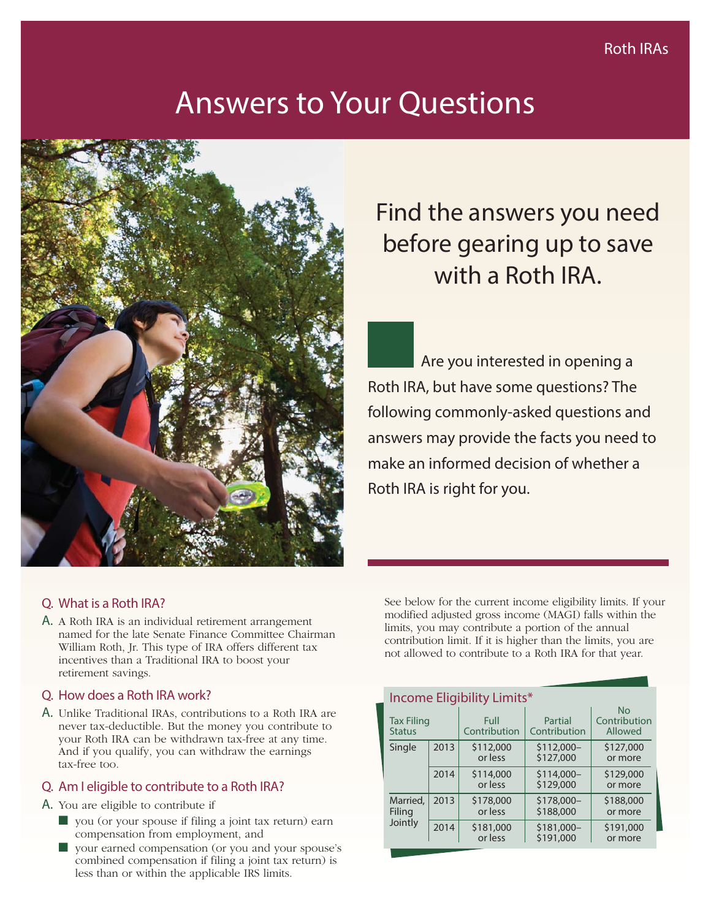# Answers to Your Questions



# Find the answers you need before gearing up to save with a Roth IRA.

Are you interested in opening a Roth IRA, but have some questions? The following commonly-asked questions and answers may provide the facts you need to make an informed decision of whether a Roth IRA is right for you.

# Q. What is a Roth IRA?

A. A Roth IRA is an individual retirement arrangement named for the late Senate Finance Committee Chairman William Roth, Jr. This type of IRA offers different tax incentives than a Traditional IRA to boost your retirement savings.

#### Q. How does a Roth IRA work?

A. Unlike Traditional IRAs, contributions to a Roth IRA are never tax-deductible. But the money you contribute to your Roth IRA can be withdrawn tax-free at any time. And if you qualify, you can withdraw the earnings tax-free too.

# Q. Am I eligible to contribute to a Roth IRA?

- A. You are eligible to contribute if
	- you (or your spouse if filing a joint tax return) earn compensation from employment, and
	- your earned compensation (or you and your spouse's combined compensation if filing a joint tax return) is less than or within the applicable IRS limits.

See below for the current income eligibility limits. If your modified adjusted gross income (MAGI) falls within the limits, you may contribute a portion of the annual contribution limit. If it is higher than the limits, you are not allowed to contribute to a Roth IRA for that year.

| Income Eligibility Limits*         |      |                      |                          |                                      |
|------------------------------------|------|----------------------|--------------------------|--------------------------------------|
| <b>Tax Filing</b><br><b>Status</b> |      | Full<br>Contribution | Partial<br>Contribution  | <b>No</b><br>Contribution<br>Allowed |
| Single                             | 2013 | \$112,000<br>or less | $$112,000-$<br>\$127,000 | \$127,000<br>or more                 |
|                                    | 2014 | \$114,000<br>or less | \$114,000-<br>\$129,000  | \$129,000<br>or more                 |
| Married,<br>Filing<br>Jointly      | 2013 | \$178,000<br>or less | \$178,000-<br>\$188,000  | \$188,000<br>or more                 |
|                                    | 2014 | \$181,000<br>or less | \$181,000-<br>\$191,000  | \$191,000<br>or more                 |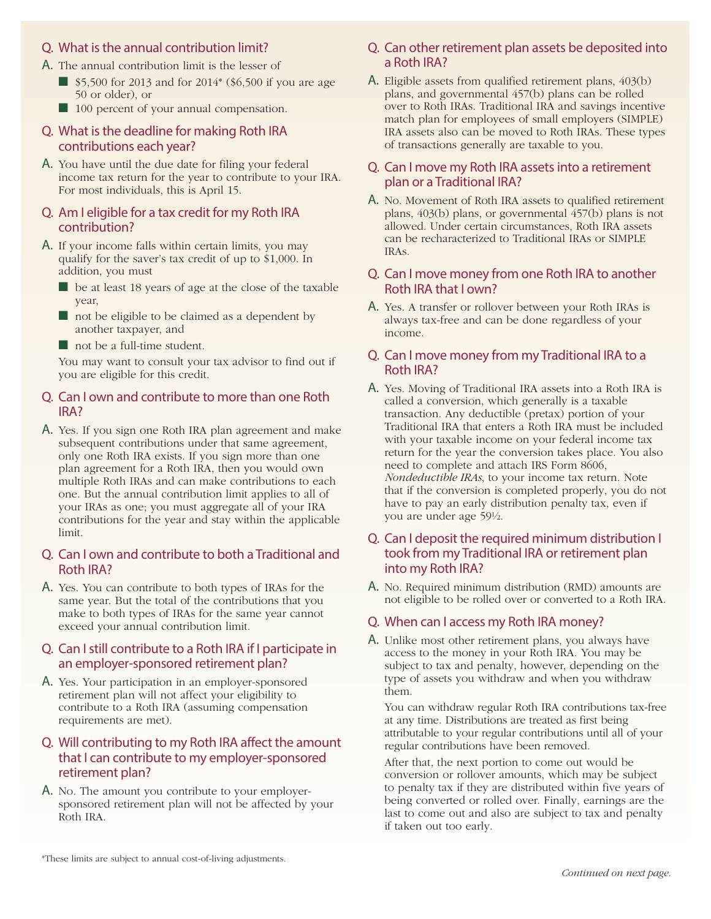#### Q. What is the annual contribution limit?

- A. The annual contribution limit is the lesser of
	- \$5,500 for 2013 and for 2014<sup>\*</sup> (\$6,500 if you are age 50 or older), or
	- 100 percent of your annual compensation.

#### Q. What is the deadline for making Roth IRA contributions each year?

A. You have until the due date for filing your federal income tax return for the year to contribute to your IRA. For most individuals, this is April 15.

#### Q. Am I eligible for a tax credit for my Roth IRA contribution?

- A. If your income falls within certain limits, you may qualify for the saver's tax credit of up to \$1,000. In addition, you must
	- be at least 18 years of age at the close of the taxable year,
	- not be eligible to be claimed as a dependent by another taxpayer, and
	- not be a full-time student.

You may want to consult your tax advisor to find out if you are eligible for this credit.

#### Q. Can I own and contribute to more than one Roth IRA?

A. Yes. If you sign one Roth IRA plan agreement and make subsequent contributions under that same agreement, only one Roth IRA exists. If you sign more than one plan agreement for a Roth IRA, then you would own multiple Roth IRAs and can make contributions to each one. But the annual contribution limit applies to all of your IRAs as one; you must aggregate all of your IRA contributions for the year and stay within the applicable limit.

#### Q. Can I own and contribute to both a Traditional and Roth IRA?

A. Yes. You can contribute to both types of IRAs for the same year. But the total of the contributions that you make to both types of IRAs for the same year cannot exceed your annual contribution limit.

#### Q. Can I still contribute to a Roth IRA if I participate in an employer-sponsored retirement plan?

A. Yes. Your participation in an employer-sponsored retirement plan will not affect your eligibility to contribute to a Roth IRA (assuming compensation requirements are met).

#### Q. Will contributing to my Roth IRA affect the amount that I can contribute to my employer-sponsored retirement plan?

A. No. The amount you contribute to your employersponsored retirement plan will not be affected by your Roth IRA.

## Q. Can other retirement plan assets be deposited into a Roth IRA?

A. Eligible assets from qualified retirement plans, 403(b) plans, and governmental 457(b) plans can be rolled over to Roth IRAs. Traditional IRA and savings incentive match plan for employees of small employers (SIMPLE) IRA assets also can be moved to Roth IRAs. These types of transactions generally are taxable to you.

### Q. Can I move my Roth IRA assets into a retirement plan or a Traditional IRA?

A. No. Movement of Roth IRA assets to qualified retirement plans, 403(b) plans, or governmental 457(b) plans is not allowed. Under certain circumstances, Roth IRA assets can be recharacterized to Traditional IRAs or SIMPLE IRAs.

#### Q. Can I move money from one Roth IRA to another Roth IRA that I own?

A. Yes. A transfer or rollover between your Roth IRAs is always tax-free and can be done regardless of your income.

### Q. Can I move money from my Traditional IRA to a Roth IRA?

A. Yes. Moving of Traditional IRA assets into a Roth IRA is called a conversion, which generally is a taxable transaction. Any deductible (pretax) portion of your Traditional IRA that enters a Roth IRA must be included with your taxable income on your federal income tax return for the year the conversion takes place. You also need to complete and attach IRS Form 8606, *Nondeductible IRAs*, to your income tax return. Note that if the conversion is completed properly, you do not have to pay an early distribution penalty tax, even if you are under age 59½.

#### Q. Can I deposit the required minimum distribution I took from my Traditional IRA or retirement plan into my Roth IRA?

A. No. Required minimum distribution (RMD) amounts are not eligible to be rolled over or converted to a Roth IRA.

#### Q. When can I access my Roth IRA money?

A. Unlike most other retirement plans, you always have access to the money in your Roth IRA. You may be subject to tax and penalty, however, depending on the type of assets you withdraw and when you withdraw them.

You can withdraw regular Roth IRA contributions tax-free at any time. Distributions are treated as first being attributable to your regular contributions until all of your regular contributions have been removed.

After that, the next portion to come out would be conversion or rollover amounts, which may be subject to penalty tax if they are distributed within five years of being converted or rolled over. Finally, earnings are the last to come out and also are subject to tax and penalty if taken out too early.

<sup>\*</sup>These limits are subject to annual cost-of-living adjustments.